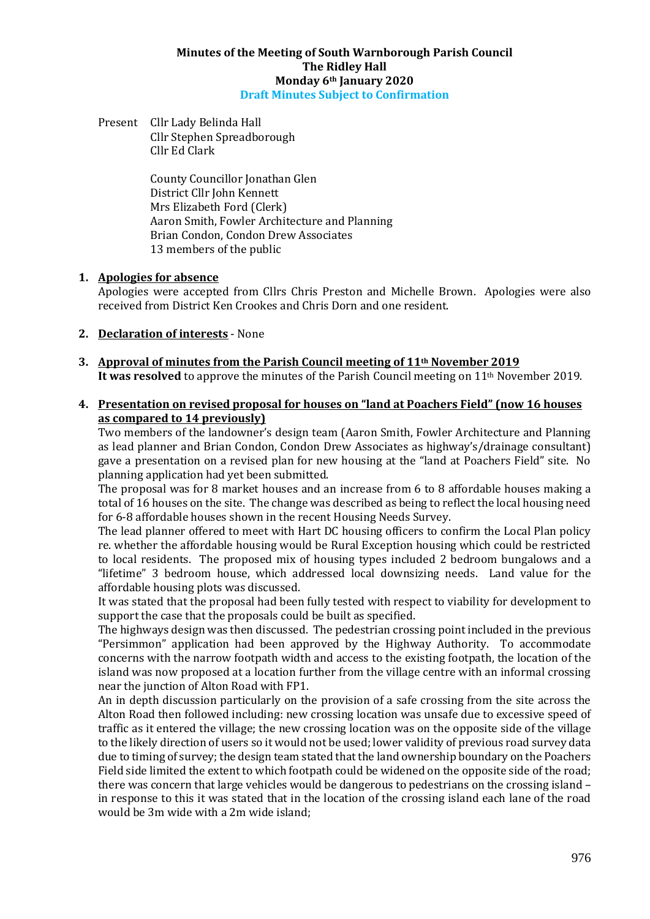#### **Minutes of the Meeting of South Warnborough Parish Council The Ridley Hall Monday 6th January 2020 Draft Minutes Subject to Confirmation**

Present Cllr Lady Belinda Hall Cllr Stephen Spreadborough Cllr Ed Clark

> County Councillor Jonathan Glen District Cllr John Kennett Mrs Elizabeth Ford (Clerk) Aaron Smith, Fowler Architecture and Planning Brian Condon, Condon Drew Associates 13 members of the public

#### **1. Apologies for absence**

Apologies were accepted from Cllrs Chris Preston and Michelle Brown. Apologies were also received from District Ken Crookes and Chris Dorn and one resident.

#### **2. Declaration of interests** - None

**3. Approval of minutes from the Parish Council meeting of 11th November 2019** It was resolved to approve the minutes of the Parish Council meeting on 11<sup>th</sup> November 2019.

#### **4. Presentation on revised proposal for houses on "land at Poachers Field" (now 16 houses as compared to 14 previously)**

Two members of the landowner's design team (Aaron Smith, Fowler Architecture and Planning as lead planner and Brian Condon, Condon Drew Associates as highway's/drainage consultant) gave a presentation on a revised plan for new housing at the "land at Poachers Field" site. No planning application had yet been submitted.

The proposal was for 8 market houses and an increase from 6 to 8 affordable houses making a total of 16 houses on the site. The change was described as being to reflect the local housing need for 6-8 affordable houses shown in the recent Housing Needs Survey.

The lead planner offered to meet with Hart DC housing officers to confirm the Local Plan policy re. whether the affordable housing would be Rural Exception housing which could be restricted to local residents. The proposed mix of housing types included 2 bedroom bungalows and a "lifetime" 3 bedroom house, which addressed local downsizing needs. Land value for the affordable housing plots was discussed.

It was stated that the proposal had been fully tested with respect to viability for development to support the case that the proposals could be built as specified.

The highways design was then discussed. The pedestrian crossing point included in the previous "Persimmon" application had been approved by the Highway Authority. To accommodate concerns with the narrow footpath width and access to the existing footpath, the location of the island was now proposed at a location further from the village centre with an informal crossing near the junction of Alton Road with FP1.

An in depth discussion particularly on the provision of a safe crossing from the site across the Alton Road then followed including: new crossing location was unsafe due to excessive speed of traffic as it entered the village; the new crossing location was on the opposite side of the village to the likely direction of users so it would not be used; lower validity of previous road survey data due to timing of survey; the design team stated that the land ownership boundary on the Poachers Field side limited the extent to which footpath could be widened on the opposite side of the road; there was concern that large vehicles would be dangerous to pedestrians on the crossing island – in response to this it was stated that in the location of the crossing island each lane of the road would be 3m wide with a 2m wide island;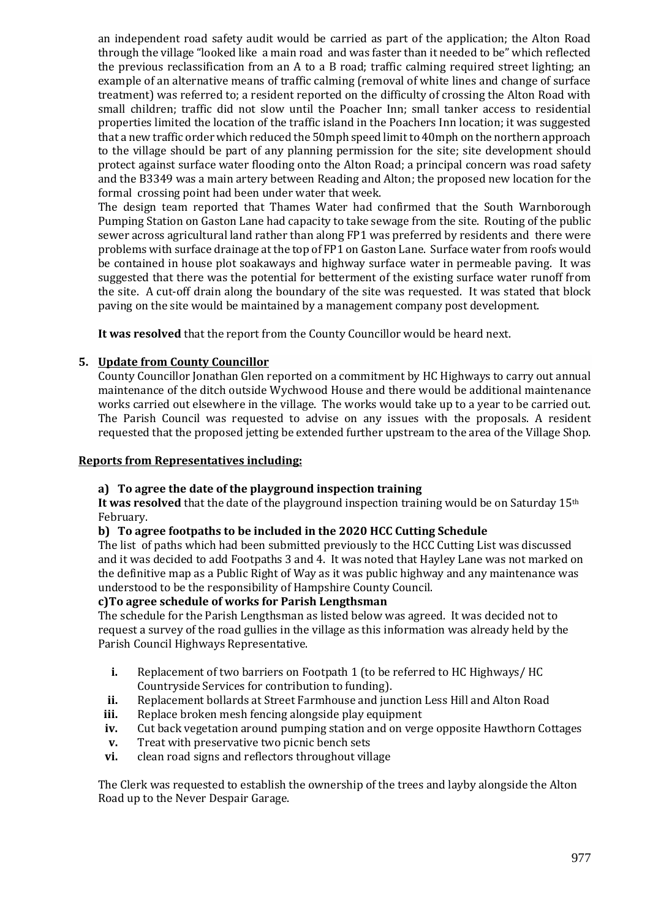an independent road safety audit would be carried as part of the application; the Alton Road through the village "looked like a main road and was faster than it needed to be" which reflected the previous reclassification from an A to a B road; traffic calming required street lighting; an example of an alternative means of traffic calming (removal of white lines and change of surface treatment) was referred to; a resident reported on the difficulty of crossing the Alton Road with small children; traffic did not slow until the Poacher Inn; small tanker access to residential properties limited the location of the traffic island in the Poachers Inn location; it was suggested that a new traffic order which reduced the 50mph speed limit to 40mph on the northern approach to the village should be part of any planning permission for the site; site development should protect against surface water flooding onto the Alton Road; a principal concern was road safety and the B3349 was a main artery between Reading and Alton; the proposed new location for the formal crossing point had been under water that week.

The design team reported that Thames Water had confirmed that the South Warnborough Pumping Station on Gaston Lane had capacity to take sewage from the site. Routing of the public sewer across agricultural land rather than along FP1 was preferred by residents and there were problems with surface drainage at the top of FP1 on Gaston Lane. Surface water from roofs would be contained in house plot soakaways and highway surface water in permeable paving. It was suggested that there was the potential for betterment of the existing surface water runoff from the site. A cut-off drain along the boundary of the site was requested. It was stated that block paving on the site would be maintained by a management company post development.

**It was resolved** that the report from the County Councillor would be heard next.

# **5. Update from County Councillor**

County Councillor Jonathan Glen reported on a commitment by HC Highways to carry out annual maintenance of the ditch outside Wychwood House and there would be additional maintenance works carried out elsewhere in the village. The works would take up to a year to be carried out. The Parish Council was requested to advise on any issues with the proposals. A resident requested that the proposed jetting be extended further upstream to the area of the Village Shop.

#### **Reports from Representatives including:**

#### **a) To agree the date of the playground inspection training**

It was resolved that the date of the playground inspection training would be on Saturday 15<sup>th</sup> February.

#### **b) To agree footpaths to be included in the 2020 HCC Cutting Schedule**

The list of paths which had been submitted previously to the HCC Cutting List was discussed and it was decided to add Footpaths 3 and 4. It was noted that Hayley Lane was not marked on the definitive map as a Public Right of Way as it was public highway and any maintenance was understood to be the responsibility of Hampshire County Council.

#### **c)To agree schedule of works for Parish Lengthsman**

The schedule for the Parish Lengthsman as listed below was agreed. It was decided not to request a survey of the road gullies in the village as this information was already held by the Parish Council Highways Representative.

- **i.** Replacement of two barriers on Footpath 1 (to be referred to HC Highways/ HC Countryside Services for contribution to funding).
- **ii.** Replacement bollards at Street Farmhouse and junction Less Hill and Alton Road
- **iii.** Replace broken mesh fencing alongside play equipment
- **iv.** Cut back vegetation around pumping station and on verge opposite Hawthorn Cottages
- **v.** Treat with preservative two picnic bench sets
- **vi.** clean road signs and reflectors throughout village

The Clerk was requested to establish the ownership of the trees and layby alongside the Alton Road up to the Never Despair Garage.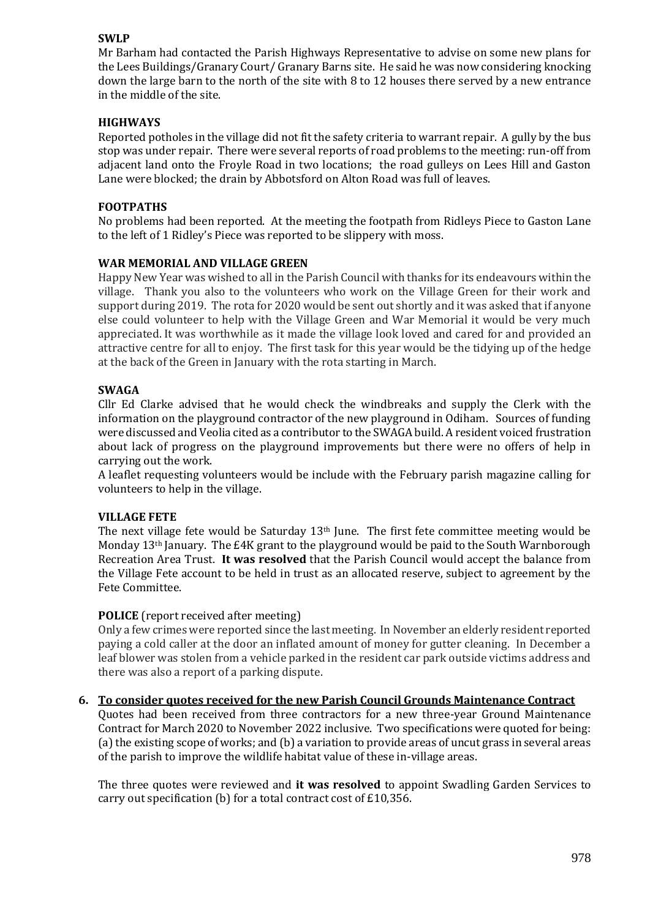#### **SWLP**

Mr Barham had contacted the Parish Highways Representative to advise on some new plans for the Lees Buildings/Granary Court/ Granary Barns site. He said he was now considering knocking down the large barn to the north of the site with 8 to 12 houses there served by a new entrance in the middle of the site.

#### **HIGHWAYS**

Reported potholes in the village did not fit the safety criteria to warrant repair. A gully by the bus stop was under repair. There were several reports of road problems to the meeting: run-off from adjacent land onto the Froyle Road in two locations; the road gulleys on Lees Hill and Gaston Lane were blocked; the drain by Abbotsford on Alton Road was full of leaves.

#### **FOOTPATHS**

No problems had been reported. At the meeting the footpath from Ridleys Piece to Gaston Lane to the left of 1 Ridley's Piece was reported to be slippery with moss.

#### **WAR MEMORIAL AND VILLAGE GREEN**

Happy New Year was wished to all in the Parish Council with thanks for its endeavours within the village. Thank you also to the volunteers who work on the Village Green for their work and support during 2019. The rota for 2020 would be sent out shortly and it was asked that if anyone else could volunteer to help with the Village Green and War Memorial it would be very much appreciated. It was worthwhile as it made the village look loved and cared for and provided an attractive centre for all to enjoy. The first task for this year would be the tidying up of the hedge at the back of the Green in January with the rota starting in March.

#### **SWAGA**

Cllr Ed Clarke advised that he would check the windbreaks and supply the Clerk with the information on the playground contractor of the new playground in Odiham. Sources of funding were discussed and Veolia cited as a contributor to the SWAGA build. A resident voiced frustration about lack of progress on the playground improvements but there were no offers of help in carrying out the work.

A leaflet requesting volunteers would be include with the February parish magazine calling for volunteers to help in the village.

#### **VILLAGE FETE**

The next village fete would be Saturday 13th June. The first fete committee meeting would be Monday 13<sup>th</sup> January. The £4K grant to the playground would be paid to the South Warnborough Recreation Area Trust. **It was resolved** that the Parish Council would accept the balance from the Village Fete account to be held in trust as an allocated reserve, subject to agreement by the Fete Committee.

#### **POLICE** (report received after meeting)

Only a few crimes were reported since the last meeting. In November an elderly resident reported paying a cold caller at the door an inflated amount of money for gutter cleaning. In December a leaf blower was stolen from a vehicle parked in the resident car park outside victims address and there was also a report of a parking dispute.

#### **6. To consider quotes received for the new Parish Council Grounds Maintenance Contract**

Quotes had been received from three contractors for a new three-year Ground Maintenance Contract for March 2020 to November 2022 inclusive. Two specifications were quoted for being: (a) the existing scope of works; and (b) a variation to provide areas of uncut grass in several areas of the parish to improve the wildlife habitat value of these in-village areas.

The three quotes were reviewed and **it was resolved** to appoint Swadling Garden Services to carry out specification (b) for a total contract cost of £10,356.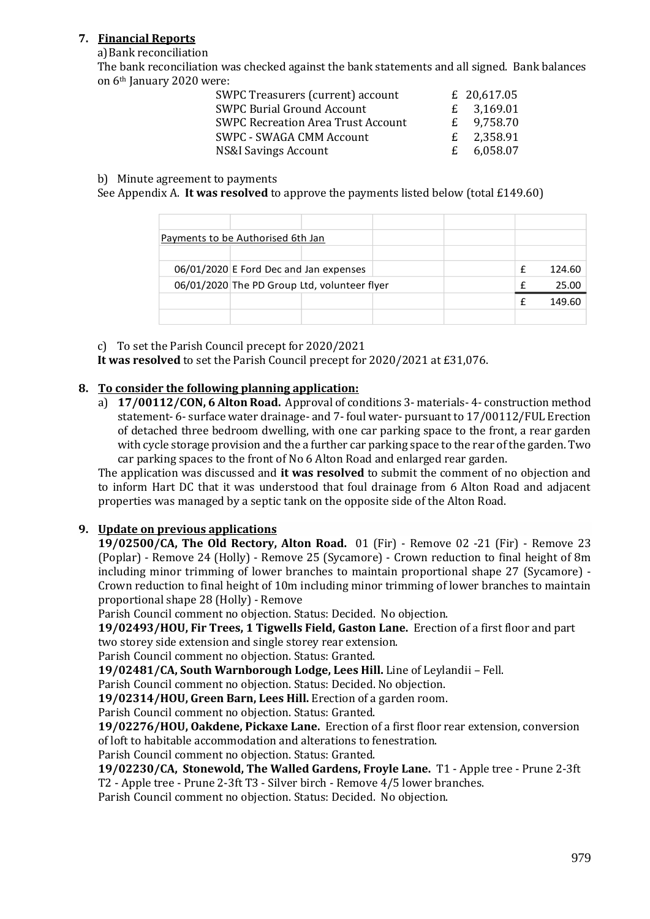# **7. Financial Reports**

a)Bank reconciliation

The bank reconciliation was checked against the bank statements and all signed. Bank balances on 6th January 2020 were:

| SWPC Treasurers (current) account         | £ 20,617.05  |
|-------------------------------------------|--------------|
| <b>SWPC Burial Ground Account</b>         | £ $3,169.01$ |
| <b>SWPC Recreation Area Trust Account</b> | £ $9,758.70$ |
| <b>SWPC - SWAGA CMM Account</b>           | £ $2,358.91$ |
| <b>NS&amp;I Savings Account</b>           | £ $6,058.07$ |

#### b) Minute agreement to payments

See Appendix A. **It was resolved** to approve the payments listed below (total £149.60)

| Payments to be Authorised 6th Jan |                                              |  |  |   |        |
|-----------------------------------|----------------------------------------------|--|--|---|--------|
|                                   |                                              |  |  |   |        |
|                                   | 06/01/2020 E Ford Dec and Jan expenses       |  |  | f | 124.60 |
|                                   | 06/01/2020 The PD Group Ltd, volunteer flyer |  |  |   | 25.00  |
|                                   |                                              |  |  |   | 149.60 |
|                                   |                                              |  |  |   |        |

c) To set the Parish Council precept for 2020/2021

**It was resolved** to set the Parish Council precept for 2020/2021 at £31,076.

## **8. To consider the following planning application:**

a) **17/00112/CON, 6 Alton Road.** Approval of conditions 3- materials- 4- construction method statement- 6- surface water drainage- and 7- foul water- pursuant to 17/00112/FUL Erection of detached three bedroom dwelling, with one car parking space to the front, a rear garden with cycle storage provision and the a further car parking space to the rear of the garden. Two car parking spaces to the front of No 6 Alton Road and enlarged rear garden.

The application was discussed and **it was resolved** to submit the comment of no objection and to inform Hart DC that it was understood that foul drainage from 6 Alton Road and adjacent properties was managed by a septic tank on the opposite side of the Alton Road.

# **9. Update on previous applications**

**19/02500/CA, The Old Rectory, Alton Road.** 01 (Fir) - Remove 02 -21 (Fir) - Remove 23 (Poplar) - Remove 24 (Holly) - Remove 25 (Sycamore) - Crown reduction to final height of 8m including minor trimming of lower branches to maintain proportional shape 27 (Sycamore) - Crown reduction to final height of 10m including minor trimming of lower branches to maintain proportional shape 28 (Holly) - Remove

Parish Council comment no objection. Status: Decided. No objection.

**19/02493/HOU, Fir Trees, 1 Tigwells Field, Gaston Lane.** Erection of a first floor and part two storey side extension and single storey rear extension.

Parish Council comment no objection. Status: Granted.

**19/02481/CA, South Warnborough Lodge, Lees Hill.** Line of Leylandii – Fell.

Parish Council comment no objection. Status: Decided. No objection.

**19/02314/HOU, Green Barn, Lees Hill.** Erection of a garden room.

Parish Council comment no objection. Status: Granted.

**19/02276/HOU, Oakdene, Pickaxe Lane.** Erection of a first floor rear extension, conversion of loft to habitable accommodation and alterations to fenestration.

Parish Council comment no objection. Status: Granted.

**19/02230/CA, Stonewold, The Walled Gardens, Froyle Lane.** T1 - Apple tree - Prune 2-3ft T2 - Apple tree - Prune 2-3ft T3 - Silver birch - Remove 4/5 lower branches.

Parish Council comment no objection. Status: Decided. No objection.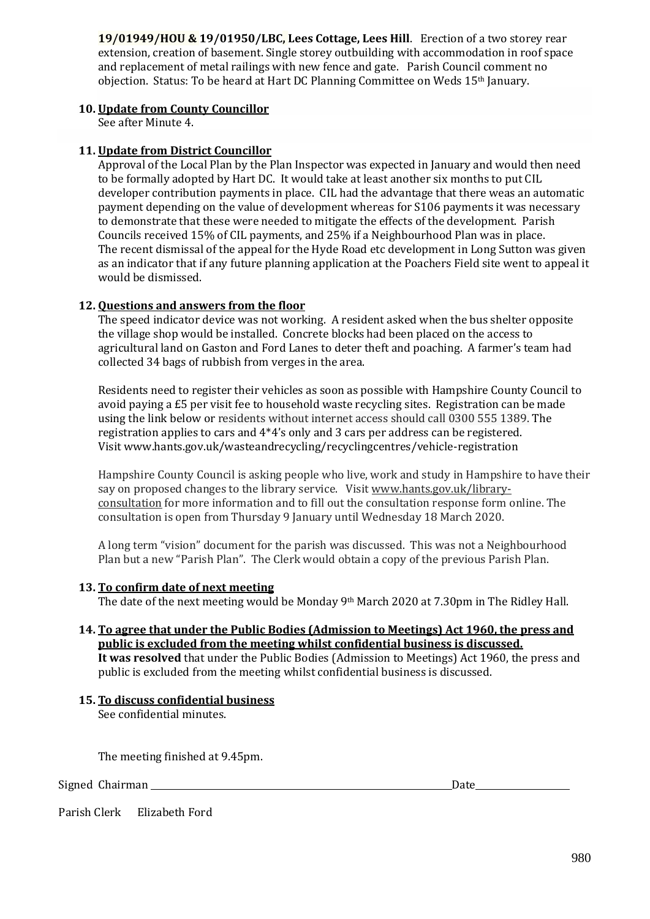**19/01949/HOU & 19/01950/LBC, Lees Cottage, Lees Hill**. Erection of a two storey rear extension, creation of basement. Single storey outbuilding with accommodation in roof space and replacement of metal railings with new fence and gate. Parish Council comment no objection. Status: To be heard at Hart DC Planning Committee on Weds 15th January.

#### **10. Update from County Councillor**

See after Minute 4.

## **11. Update from District Councillor**

Approval of the Local Plan by the Plan Inspector was expected in January and would then need to be formally adopted by Hart DC. It would take at least another six months to put CIL developer contribution payments in place. CIL had the advantage that there weas an automatic payment depending on the value of development whereas for S106 payments it was necessary to demonstrate that these were needed to mitigate the effects of the development. Parish Councils received 15% of CIL payments, and 25% if a Neighbourhood Plan was in place. The recent dismissal of the appeal for the Hyde Road etc development in Long Sutton was given as an indicator that if any future planning application at the Poachers Field site went to appeal it would be dismissed.

## **12. Questions and answers from the floor**

The speed indicator device was not working. A resident asked when the bus shelter opposite the village shop would be installed. Concrete blocks had been placed on the access to agricultural land on Gaston and Ford Lanes to deter theft and poaching. A farmer's team had collected 34 bags of rubbish from verges in the area.

Residents need to register their vehicles as soon as possible with Hampshire County Council to avoid paying a £5 per visit fee to household waste recycling sites. Registration can be made using the link below or residents without internet access should call 0300 555 1389. The registration applies to cars and 4\*4's only and 3 cars per address can be registered. Visit www.hants.gov.uk/wasteandrecycling/recyclingcentres/vehicle-registration

Hampshire County Council is asking people who live, work and study in Hampshire to have their say on proposed changes to the library service. Visi[t www.hants.gov.uk/library](https://www.hants.gov.uk/aboutthecouncil/haveyoursay/consultations/library-consultation)[consultation](https://www.hants.gov.uk/aboutthecouncil/haveyoursay/consultations/library-consultation) for more information and to fill out the consultation response form online. The consultation is open from Thursday 9 January until Wednesday 18 March 2020.

A long term "vision" document for the parish was discussed. This was not a Neighbourhood Plan but a new "Parish Plan". The Clerk would obtain a copy of the previous Parish Plan.

#### **13. To confirm date of next meeting**

The date of the next meeting would be Monday 9th March 2020 at 7.30pm in The Ridley Hall.

**14. To agree that under the Public Bodies (Admission to Meetings) Act 1960, the press and public is excluded from the meeting whilst confidential business is discussed. It was resolved** that under the Public Bodies (Admission to Meetings) Act 1960, the press and public is excluded from the meeting whilst confidential business is discussed.

# **15. To discuss confidential business**

See confidential minutes.

The meeting finished at 9.45pm.

Signed Chairman **Date** 

Parish Clerk Elizabeth Ford